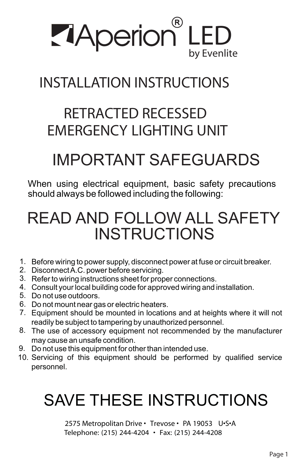

# **INSTALLATION INSTRUCTIONS**

# **RETRACTED RECESSED EMERGENCY LIGHTING UNIT**

# IMPORTANT SAFEGUARDS

When using electrical equipment, basic safety precautions should always be followed including the following:

# READ AND FOLLOW ALL SAFETY **INSTRUCTIONS**

- 1. Before wiring to power supply, disconnect power at fuse or circuit breaker.
- 2. Disconnect A.C. power before servicing.
- 3. Refer to wiring instructions sheet for proper connections.
- 4. Consult your local building code for approved wiring and installation.
- 5. Do not use outdoors.
- 6. Do not mount near gas or electric heaters.
- Equipment should be mounted in locations and at heights where it will not 7. readily be subject to tampering by unauthorized personnel.
- The use of accessory equipment not recommended by the manufacturer 8. may cause an unsafe condition.
- 9. Do not use this equipment for other than intended use.
- 10. Servicing of this equipment should be performed by qualified service personnel.

# SAVE THESE INSTRUCTIONS

**2575 Metropolitan Drive • Trevose • PA 19053 U•S•A Telephone: (215) 244-4204 • Fax: (215) 244-4208**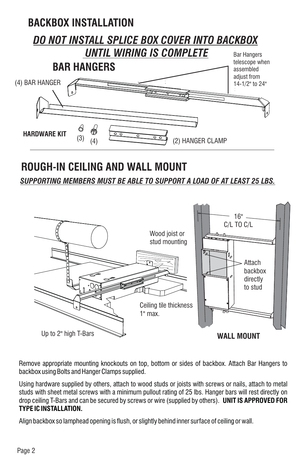

## **ROUGH-IN CEILING AND WALL MOUNT**

*SUPPORTING MEMBERS MUST BE ABLE TO SUPPORT A LOAD OF AT LEAST 25 LBS.*



Remove appropriate mounting knockouts on top, bottom or sides of backbox. Attach Bar Hangers to backbox using Bolts and Hanger Clamps supplied.

Using hardware supplied by others, attach to wood studs or joists with screws or nails, attach to metal studs with sheet metal screws with a minimum pullout rating of 25 lbs. Hanger bars will rest directly on drop ceiling T-Bars and can be secured by screws or wire (supplied by others). **UNIT IS APPROVED FOR TYPE IC INSTALLATION.**

Align backbox so lamphead opening is flush, or slightly behind inner surface of ceiling or wall.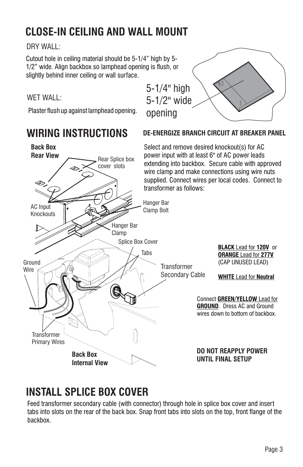# **CLOSE-IN CEILING AND WALL MOUNT**

DRY WALL:

Cutout hole in ceiling material should be 5-1/4" high by 5- 1/2" wide. Align backbox so lamphead opening is flush, or slightly behind inner ceiling or wall surface.

### WET WALL:

Plaster flush up against lamphead opening.

### **WIRING INSTRUCTIONS**

# 5-1/4" high 5-1/2" wide opening

**DE-ENERGIZE BRANCH CIRCUIT AT BREAKER PANEL**

#### **Back Box** Select and remove desired knockout(s) for AC **Rear View** power input with at least 6" of AC power leads Rear Splice box extending into backbox. Secure cable with approved cover slots wire clamp and make connections using wire nuts supplied. Connect wires per local codes. Connect to transformer as follows: Hanger Bar AC Input Clamp Bolt**Knockouts** Hanger Bar Clamp Splice Box Cover **BLACK** Lead for **120V** or Tabs **ORANGE Lead for 277V** Ground (CAP UNUSED LEAD) **Transformer Wire** Secondary Cable **WHITE** Lead for **Neutral** Connect **GREEN/YELLOW** Lead for Ti **GROUND**. Dress AC and Ground wires down to bottom of backbox.  $\mathbb{R}$ **Transformer** Primary Wires **DO NOT REAPPLY POWER Back Box UNTIL FINAL SETUP Internal View**

## **INSTALL SPLICE BOX COVER**

Feed transformer secondary cable (with connector) through hole in splice box cover and insert tabs into slots on the rear of the back box. Snap front tabs into slots on the top, front flange of the backbox.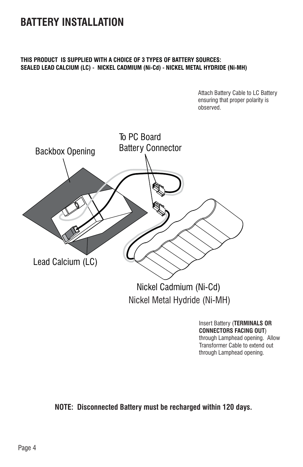### **BATTERY INSTALLATION**

#### **THIS PRODUCT IS SUPPLIED WITH A CHOICE OF 3 TYPES OF BATTERY SOURCES: SEALED LEAD CALCIUM (LC) - NICKEL CADMIUM (Ni-Cd) - NICKEL METAL HYDRIDE (Ni-MH)**

Attach Battery Cable to LC Battery ensuring that proper polarity is observed.



Insert Battery (**TERMINALS OR CONNECTORS FACING OUT**) through Lamphead opening. Allow Transformer Cable to extend out through Lamphead opening.

**NOTE: Disconnected Battery must be recharged within 120 days.**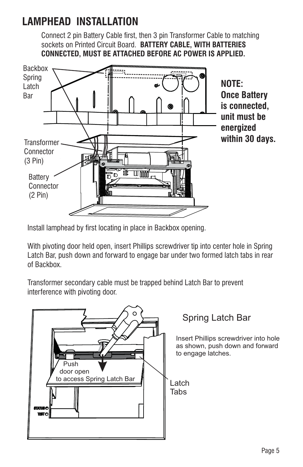## **LAMPHEAD INSTALLATION**

Connect 2 pin Battery Cable first, then 3 pin Transformer Cable to matching sockets on Printed Circuit Board. **BATTERY CABLE, WITH BATTERIES CONNECTED, MUST BE ATTACHED BEFORE AC POWER IS APPLIED.**



Install lamphead by first locating in place in Backbox opening.

With pivoting door held open, insert Phillips screwdriver tip into center hole in Spring Latch Bar, push down and forward to engage bar under two formed latch tabs in rear of Backbox.

Transformer secondary cable must be trapped behind Latch Bar to prevent interference with pivoting door.

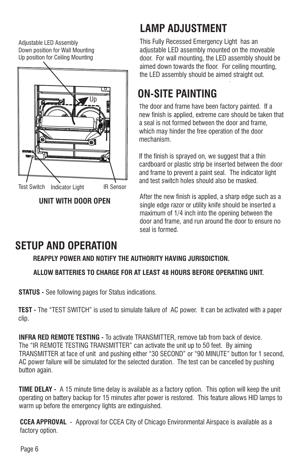Adjustable LED Assembly Down position for Wall Mounting Up position for Ceiling Mounting



**UNIT WITH DOOR OPEN**

# **LAMP ADJUSTMENT**

This Fully Recessed Emergency Light has an adjustable LED assembly mounted on the moveable door. For wall mounting, the LED assembly should be aimed down towards the floor. For ceiling mounting, the LED assembly should be aimed straight out.

# **ON-SITE PAINTING**

The door and frame have been factory painted. If a new finish is applied, extreme care should be taken that a seal is not formed between the door and frame, which may hinder the free operation of the door mechanism.

If the finish is sprayed on, we suggest that a thin cardboard or plastic strip be inserted between the door and frame to prevent a paint seal. The indicator light and test switch holes should also be masked.

After the new finish is applied, a sharp edge such as a single edge razor or utility knife should be inserted a maximum of 1/4 inch into the opening between the door and frame, and run around the door to ensure no seal is formed.

# **SETUP AND OPERATION**

### **REAPPLY POWER AND NOTIFY THE AUTHORITY HAVING JURISDICTION.**

### **ALLOW BATTERIES TO CHARGE FOR AT LEAST 48 HOURS BEFORE OPERATING UNIT.**

**STATUS -** See following pages for Status indications.

**TEST -** The "TEST SWITCH" is used to simulate failure of AC power. It can be activated with a paper clip.

**INFRA RED REMOTE TESTING -** To activate TRANSMITTER, remove tab from back of device. The "IR REMOTE TESTING TRANSMITTER" can activate the unit up to 50 feet. By aiming TRANSMITTER at face of unit and pushing either "30 SECOND" or "90 MINUTE" button for 1 second, AC power failure will be simulated for the selected duration. The test can be cancelled by pushing button again.

**TIME DELAY -** A 15 minute time delay is available as a factory option. This option will keep the unit operating on battery backup for 15 minutes after power is restored. This feature allows HID lamps to warm up before the emergency lights are extinguished.

**CCEA APPROVAL** - Approval for CCEA City of Chicago Environmental Airspace is available as a factory option.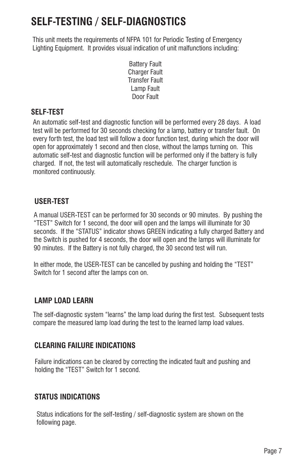# **SELF-TESTING / SELF-DIAGNOSTICS**

This unit meets the requirements of NFPA 101 for Periodic Testing of Emergency Lighting Equipment. It provides visual indication of unit malfunctions including:

> Battery Fault **Charger Fault** Transfer Fault Lamp Fault Door Fault

### **SELF-TEST**

An automatic self-test and diagnostic function will be performed every 28 days. A load test will be performed for 30 seconds checking for a lamp, battery or transfer fault. On every forth test, the load test will follow a door function test, during which the door will open for approximately 1 second and then close, without the lamps turning on. This automatic self-test and diagnostic function will be performed only if the battery is fully charged. If not, the test will automatically reschedule. The charger function is monitored continuously.

#### **USER-TEST**

A manual USER-TEST can be performed for 30 seconds or 90 minutes. By pushing the "TEST" Switch for 1 second, the door will open and the lamps will illuminate for 30 seconds. If the "STATUS" indicator shows GREEN indicating a fully charged Battery and the Switch is pushed for 4 seconds, the door will open and the lamps will illuminate for 90 minutes. If the Battery is not fully charged, the 30 second test will run.

In either mode, the USER-TEST can be cancelled by pushing and holding the "TEST" Switch for 1 second after the lamps con on.

### **LAMP LOAD LEARN**

The self-diagnostic system "learns" the lamp load during the first test. Subsequent tests compare the measured lamp load during the test to the learned lamp load values.

### **CLEARING FAILURE INDICATIONS**

Failure indications can be cleared by correcting the indicated fault and pushing and holding the "TEST" Switch for 1 second.

### **STATUS INDICATIONS**

Status indications for the self-testing / self-diagnostic system are shown on the following page.